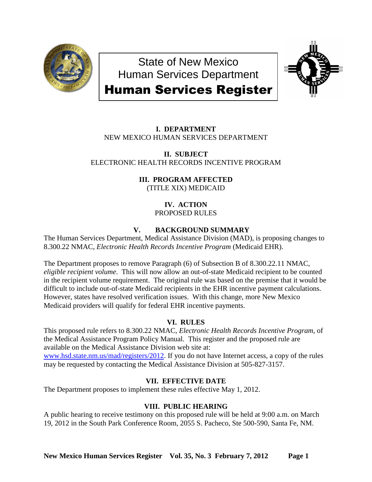

State of New Mexico Human Services Department



# Human Services Register

## **I. DEPARTMENT** NEW MEXICO HUMAN SERVICES DEPARTMENT

#### **II. SUBJECT** ELECTRONIC HEALTH RECORDS INCENTIVE PROGRAM

### **III. PROGRAM AFFECTED** (TITLE XIX) MEDICAID

#### **IV. ACTION** PROPOSED RULES

# **V. BACKGROUND SUMMARY**

The Human Services Department, Medical Assistance Division (MAD), is proposing changes to 8.300.22 NMAC, *Electronic Health Records Incentive Program* (Medicaid EHR).

The Department proposes to remove Paragraph (6) of Subsection B of 8.300.22.11 NMAC, *eligible recipient volume*. This will now allow an out-of-state Medicaid recipient to be counted in the recipient volume requirement. The original rule was based on the premise that it would be difficult to include out-of-state Medicaid recipients in the EHR incentive payment calculations. However, states have resolved verification issues. With this change, more New Mexico Medicaid providers will qualify for federal EHR incentive payments.

#### **VI. RULES**

This proposed rule refers to 8.300.22 NMAC, *Electronic Health Records Incentive Program,* of the Medical Assistance Program Policy Manual. This register and the proposed rule are available on the Medical Assistance Division web site at: [www.hsd.state.nm.us/mad/registers/2012.](http://www.hsd.state.nm.us/mad/registers/2012) If you do not have Internet access, a copy of the rules may be requested by contacting the Medical Assistance Division at 505-827-3157.

# **VII. EFFECTIVE DATE**

The Department proposes to implement these rules effective May 1, 2012.

# **VIII. PUBLIC HEARING**

A public hearing to receive testimony on this proposed rule will be held at 9:00 a.m. on March 19, 2012 in the South Park Conference Room, 2055 S. Pacheco, Ste 500-590, Santa Fe, NM.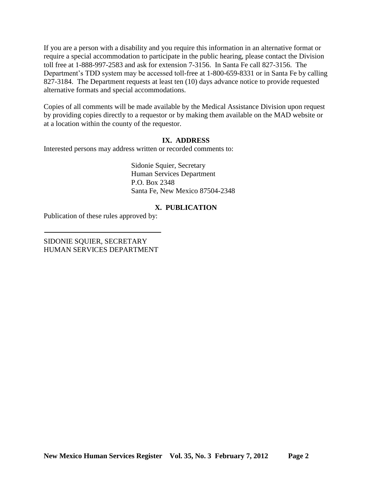If you are a person with a disability and you require this information in an alternative format or require a special accommodation to participate in the public hearing, please contact the Division toll free at 1-888-997-2583 and ask for extension 7-3156. In Santa Fe call 827-3156. The Department's TDD system may be accessed toll-free at 1-800-659-8331 or in Santa Fe by calling 827-3184. The Department requests at least ten (10) days advance notice to provide requested alternative formats and special accommodations.

Copies of all comments will be made available by the Medical Assistance Division upon request by providing copies directly to a requestor or by making them available on the MAD website or at a location within the county of the requestor.

#### **IX. ADDRESS**

Interested persons may address written or recorded comments to:

Sidonie Squier, Secretary Human Services Department P.O. Box 2348 Santa Fe, New Mexico 87504-2348

#### **X. PUBLICATION**

Publication of these rules approved by:

SIDONIE SQUIER, SECRETARY HUMAN SERVICES DEPARTMENT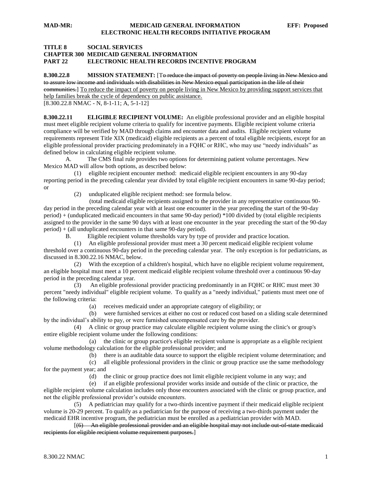#### **TITLE 8 SOCIAL SERVICES CHAPTER 300 MEDICAID GENERAL INFORMATION PART 22 ELECTRONIC HEALTH RECORDS INCENTIVE PROGRAM**

**8.300.22.8 MISSION STATEMENT:** [To reduce the impact of poverty on people living in New Mexico and to assure low income and individuals with disabilities in New Mexico equal participation in the life of their communities.] To reduce the impact of poverty on people living in New Mexico by providing support services that help families break the cycle of dependency on public assistance.

[8.300.22.8 NMAC - N, 8-1-11; A, 5-1-12]

**8.300.22.11 ELIGIBLE RECIPIENT VOLUME:** An eligible professional provider and an eligible hospital must meet eligible recipient volume criteria to qualify for incentive payments. Eligible recipient volume criteria compliance will be verified by MAD through claims and encounter data and audits. Eligible recipient volume requirements represent Title XIX (medicaid) eligible recipients as a percent of total eligible recipients, except for an eligible professional provider practicing predominately in a FQHC or RHC, who may use "needy individuals" as defined below in calculating eligible recipient volume.

A. The CMS final rule provides two options for determining patient volume percentages. New Mexico MAD will allow both options, as described below:

 (1) eligible recipient encounter method: medicaid eligible recipient encounters in any 90-day reporting period in the preceding calendar year divided by total eligible recipient encounters in same 90-day period; or

(2) unduplicated eligible recipient method: see formula below.

 (total medicaid eligible recipients assigned to the provider in any representative continuous 90 day period in the preceding calendar year with at least one encounter in the year preceding the start of the 90-day period) + (unduplicated medicaid encounters in that same 90-day period) \*100 divided by (total eligible recipients assigned to the provider in the same 90 days with at least one encounter in the year preceding the start of the 90-day period) + (all unduplicated encounters in that same 90-day period).

B. Eligible recipient volume thresholds vary by type of provider and practice location.

 (1) An eligible professional provider must meet a 30 percent medicaid eligible recipient volume threshold over a continuous 90-day period in the preceding calendar year. The only exception is for pediatricians, as discussed in 8.300.22.16 NMAC, below.

 (2) With the exception of a children's hospital, which have no eligible recipient volume requirement, an eligible hospital must meet a 10 percent medicaid eligible recipient volume threshold over a continuous 90-day period in the preceding calendar year.

 (3) An eligible professional provider practicing predominantly in an FQHC or RHC must meet 30 percent "needy individual" eligible recipient volume. To qualify as a "needy individual," patients must meet one of the following criteria:

(a) receives medicaid under an appropriate category of eligibility; or

 (b) were furnished services at either no cost or reduced cost based on a sliding scale determined by the individual's ability to pay, or were furnished uncompensated care by the provider.

 (4) A clinic or group practice may calculate eligible recipient volume using the clinic's or group's entire eligible recipient volume under the following conditions:

 (a) the clinic or group practice's eligible recipient volume is appropriate as a eligible recipient volume methodology calculation for the eligible professional provider; and

(b) there is an auditable data source to support the eligible recipient volume determination; and

 (c) all eligible professional providers in the clinic or group practice use the same methodology for the payment year; and

(d) the clinic or group practice does not limit eligible recipient volume in any way; and

 (e) if an eligible professional provider works inside and outside of the clinic or practice, the eligible recipient volume calculation includes only those encounters associated with the clinic or group practice, and not the eligible professional provider's outside encounters.

 (5) A pediatrician may qualify for a two-thirds incentive payment if their medicaid eligible recipient volume is 20-29 percent. To qualify as a pediatrician for the purpose of receiving a two-thirds payment under the medicaid EHR incentive program, the pediatrician must be enrolled as a pediatrician provider with MAD.

 [(6) An eligible professional provider and an eligible hospital may not include out-of-state medicaid recipients for eligible recipient volume requirement purposes.]